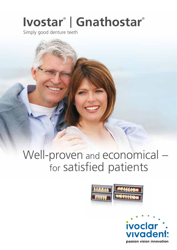# **Ivostar**® | **Gnathostar**®

Simply good denture teeth

# Well-proven and economical – for satisfied patients